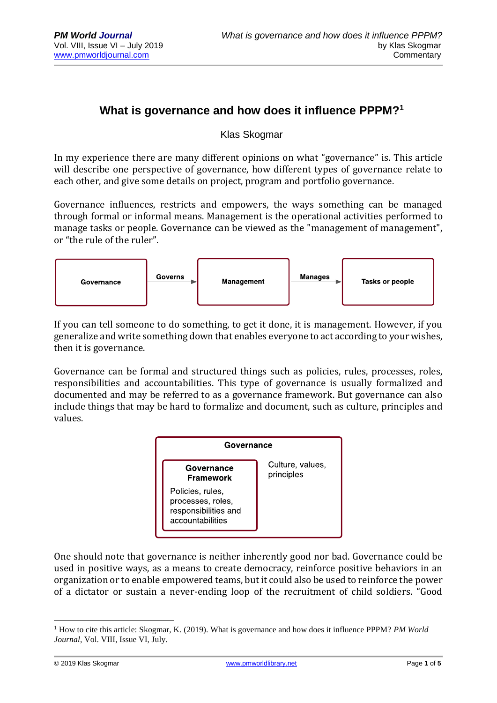## **What is governance and how does it influence PPPM?<sup>1</sup>**

Klas Skogmar

In my experience there are many different opinions on what "governance" is. This article will describe one perspective of governance, how different types of governance relate to each other, and give some details on project, program and portfolio governance.

Governance influences, restricts and empowers, the ways something can be managed through formal or informal means. Management is the operational activities performed to manage tasks or people. Governance can be viewed as the "management of management", or "the rule of the ruler".



If you can tell someone to do something, to get it done, it is management. However, if you generalize and write something down that enables everyone to act according to your wishes, then it is governance.

Governance can be formal and structured things such as policies, rules, processes, roles, responsibilities and accountabilities. This type of governance is usually formalized and documented and may be referred to as a governance framework. But governance can also include things that may be hard to formalize and document, such as culture, principles and values.



One should note that governance is neither inherently good nor bad. Governance could be used in positive ways, as a means to create democracy, reinforce positive behaviors in an organization or to enable empowered teams, but it could also be used to reinforce the power of a dictator or sustain a never-ending loop of the recruitment of child soldiers. "Good

<sup>&</sup>lt;u>.</u> <sup>1</sup> How to cite this article: Skogmar, K. (2019). What is governance and how does it influence PPPM? *PM World Journal*, Vol. VIII, Issue VI, July.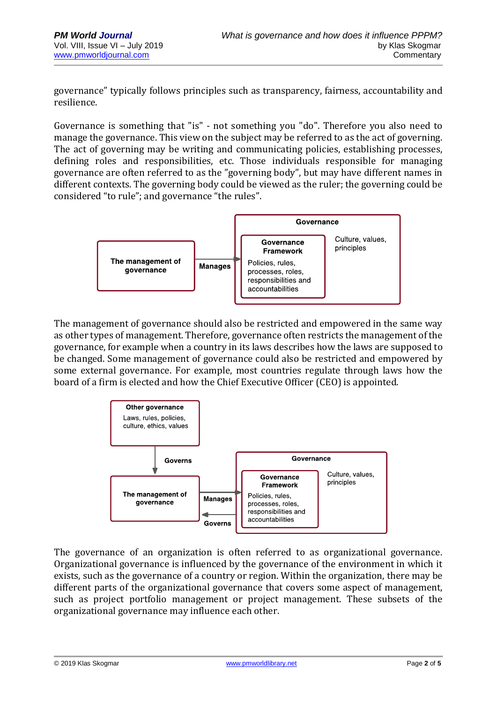governance" typically follows principles such as transparency, fairness, accountability and resilience.

Governance is something that "is" - not something you "do". Therefore you also need to manage the governance. This view on the subject may be referred to as the act of governing. The act of governing may be writing and communicating policies, establishing processes, defining roles and responsibilities, etc. Those individuals responsible for managing governance are often referred to as the "governing body", but may have different names in different contexts. The governing body could be viewed as the ruler; the governing could be considered "to rule"; and governance "the rules".



The management of governance should also be restricted and empowered in the same way as other types of management. Therefore, governance often restricts the management of the governance, for example when a country in its laws describes how the laws are supposed to be changed. Some management of governance could also be restricted and empowered by some external governance. For example, most countries regulate through laws how the board of a firm is elected and how the Chief Executive Officer (CEO) is appointed.



The governance of an organization is often referred to as organizational governance. Organizational governance is influenced by the governance of the environment in which it exists, such as the governance of a country or region. Within the organization, there may be different parts of the organizational governance that covers some aspect of management, such as project portfolio management or project management. These subsets of the organizational governance may influence each other.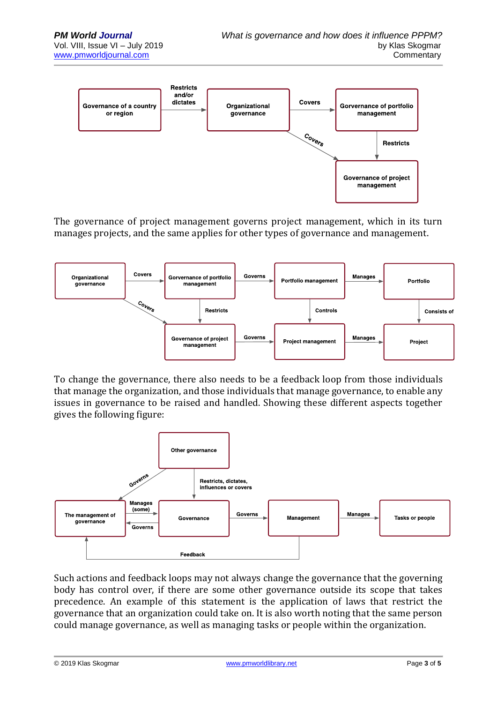

The governance of project management governs project management, which in its turn manages projects, and the same applies for other types of governance and management.



To change the governance, there also needs to be a feedback loop from those individuals that manage the organization, and those individuals that manage governance, to enable any issues in governance to be raised and handled. Showing these different aspects together gives the following figure:



Such actions and feedback loops may not always change the governance that the governing body has control over, if there are some other governance outside its scope that takes precedence. An example of this statement is the application of laws that restrict the governance that an organization could take on. It is also worth noting that the same person could manage governance, as well as managing tasks or people within the organization.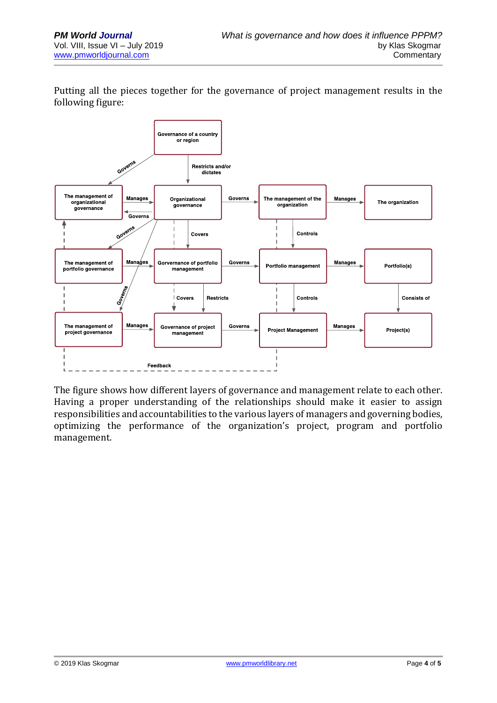Putting all the pieces together for the governance of project management results in the following figure:



The figure shows how different layers of governance and management relate to each other. Having a proper understanding of the relationships should make it easier to assign responsibilities and accountabilities to the various layers of managers and governing bodies, optimizing the performance of the organization's project, program and portfolio management.